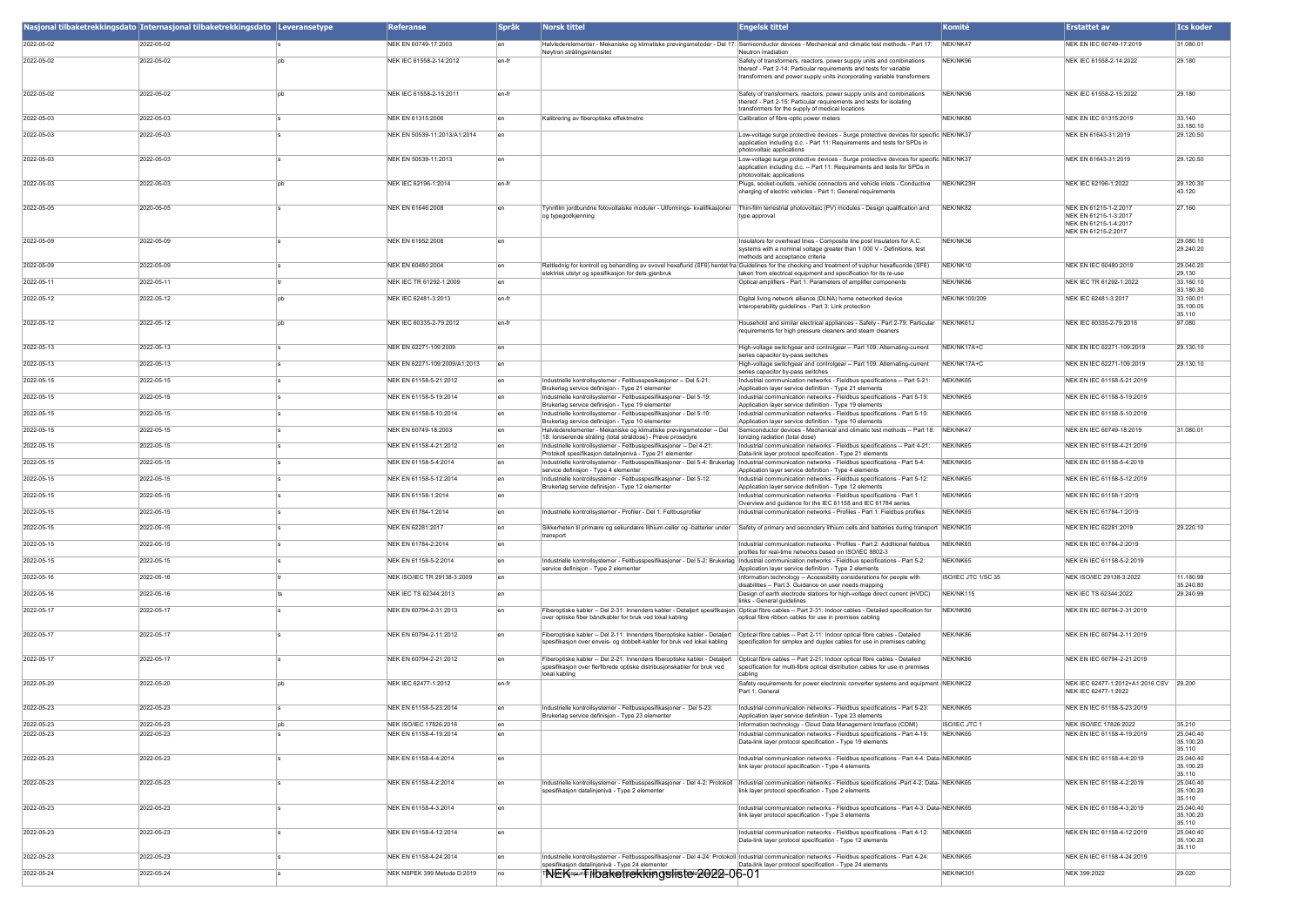|            | Nasjonal tilbaketrekkingsdato Internasjonal tilbaketrekkingsdato Leveransetype |     | <b>Referanse</b>              | <b>Språk</b> | <b>Norsk tittel</b>                                                                                                                                                                                                                                | <b>Engelsk tittel</b>                                                                                                                                                                                                   | Komité               | <b>Erstattet av</b>                                                                            | <b>Ics koder</b>                 |
|------------|--------------------------------------------------------------------------------|-----|-------------------------------|--------------|----------------------------------------------------------------------------------------------------------------------------------------------------------------------------------------------------------------------------------------------------|-------------------------------------------------------------------------------------------------------------------------------------------------------------------------------------------------------------------------|----------------------|------------------------------------------------------------------------------------------------|----------------------------------|
| 2022-05-02 | 2022-05-02                                                                     |     | NEK EN 60749-17:2003          |              | Nøytron strålingsintensitet                                                                                                                                                                                                                        | Halvlederelementer - Mekaniske og klimatiske prøvingsmetoder - Del 17: Semiconductor devices - Mechanical and climatic test methods - Part 17:<br>Neutron irradiation                                                   | NEK/NK47             | NEK EN IEC 60749-17:2019                                                                       | 31.080.01                        |
| 2022-05-02 | 2022-05-02                                                                     |     | NEK IEC 61558-2-14:2012       | len-fr       |                                                                                                                                                                                                                                                    | Safety of transformers, reactors, power supply units and combinations<br>thereof - Part 2-14: Particular requirements and tests for variable<br>transformers and power supply units incorporating variable transformers | NEK/NK96             | NEK IEC 61558-2-14:2022                                                                        | 29.180                           |
| 2022-05-02 | 2022-05-02                                                                     |     | NEK IEC 61558-2-15:2011       | en-fr        |                                                                                                                                                                                                                                                    | Safety of transformers, reactors, power supply units and combinations<br>thereof - Part 2-15: Particular requirements and tests for isolating<br>transformers for the supply of medical locations                       | NEK/NK96             | NEK IEC 61558-2-15:2022                                                                        | 29.180                           |
| 2022-05-03 | 2022-05-03                                                                     |     | NEK EN 61315:2006             |              | Kalibrering av fiberoptiske effektmetre                                                                                                                                                                                                            | Calibration of fibre-optic power meters                                                                                                                                                                                 | NEK/NK86             | <b>NEK EN IEC 61315:2019</b>                                                                   | 33.140<br>33.180.10              |
| 2022-05-03 | 2022-05-03                                                                     |     | NEK EN 50539-11:2013/A1:2014  | len          |                                                                                                                                                                                                                                                    | Low-voltage surge protective devices - Surge protective devices for specific NEK/NK37<br>application including d.c. - Part 11: Requirements and tests for SPDs in<br>photovoltaic applications                          |                      | NEK EN 61643-31:2019                                                                           | 29.120.50                        |
| 2022-05-03 | 2022-05-03                                                                     |     | NEK EN 50539-11:2013          | len          |                                                                                                                                                                                                                                                    | Low-voltage surge protective devices - Surge protective devices for specific NEK/NK37<br>application including d.c. -- Part 11: Requirements and tests for SPDs in<br>photovoltaic applications                         |                      | NEK EN 61643-31:2019                                                                           | 29.120.50                        |
| 2022-05-03 | 2022-05-03                                                                     |     | NEK IEC 62196-1:2014          | len-fr       |                                                                                                                                                                                                                                                    | Plugs, socket-outlets, vehicle connectors and vehicle inlets - Conductive<br>charging of electric vehicles - Part 1: General requirements                                                                               | NEK/NK23H            | NEK IEC 62196-1:2022                                                                           | 29.120.30<br>43.120              |
| 2022-05-05 | 2020-05-05                                                                     |     | NEK EN 61646:2008             |              | Fynnfilm jordbundne fotovoltaiske moduler - Utformings- kvalifikasjoner<br>og typegodkjenning                                                                                                                                                      | Thin-film terrestrial photovoltaic (PV) modules - Design qualification and<br>type approval                                                                                                                             | NEK/NK82             | NEK EN 61215-1-2:2017<br>NEK EN 61215-1-3:2017<br>NEK EN 61215-1-4:2017<br>NEK EN 61215-2:2017 | 27.160                           |
| 2022-05-09 | 2022-05-09                                                                     |     | NEK EN 61952:2008             |              |                                                                                                                                                                                                                                                    | Insulators for overhead lines - Composite line post insulators for A C.<br>systems with a nominal voltage greater than 1 000 V - Definitions, test<br>methods and acceptance criteria                                   | NEK/NK36             |                                                                                                | 29.080.10<br>29 240 20           |
| 2022-05-09 | 2022-05-09                                                                     |     | NEK EN 60480:2004             |              |                                                                                                                                                                                                                                                    | Rettlednig for kontroll og behandling av svovel hexaflurid (SF6) hentet fra Guidelines for the checking and treatment of sulphur hexafluoride (SF6)                                                                     | NEK/NK10             | NEK EN IEC 60480:2019                                                                          | 29.040.20                        |
| 2022-05-11 | 2022-05-11                                                                     |     | NEK IEC TR 61292-1:2009       |              | elektrisk utstyr og spesifikasjon for dets gjenbruk                                                                                                                                                                                                | taken from electrical equipment and specification for its re-use<br>Optical amplifiers - Part 1: Parameters of amplifier components                                                                                     | NEK/NK86             | NEK IEC TR 61292-1:2022                                                                        | 29.130<br>33.160.10              |
| 2022-05-12 | 2022-05-12                                                                     |     | NEK IEC 62481-3:2013          | len-fr       |                                                                                                                                                                                                                                                    | Digital living network alliance (DLNA) home networked device                                                                                                                                                            | NEK/NK100/209        | NEK IEC 62481-3:2017                                                                           | 33.180.30<br>33.160.01           |
|            |                                                                                |     |                               |              |                                                                                                                                                                                                                                                    | interoperability guidelines - Part 3: Link protection                                                                                                                                                                   |                      |                                                                                                | 35.100.05<br>35.110              |
| 2022-05-12 | 2022-05-12                                                                     |     | NEK IEC 60335-2-79:2012       | len-fr       |                                                                                                                                                                                                                                                    | Household and similar electrical appliances - Safety - Part 2-79: Particular NEK/NK61J<br>requirements for high pressure cleaners and steam cleaners                                                                    |                      | NEK IEC 60335-2-79:2016                                                                        | 97.080                           |
| 2022-05-13 | 2022-05-13                                                                     |     | NEK EN 62271-109:2009         |              |                                                                                                                                                                                                                                                    | High-voltage switchgear and controlgear -- Part 109: Alternating-current<br>series capacitor by-pass switches                                                                                                           | NEK/NK17A+C          | NEK EN IEC 62271-109:2019                                                                      | 29.130.10                        |
| 2022-05-13 | 2022-05-13                                                                     |     | NEK EN 62271-109:2009/A1:2013 |              |                                                                                                                                                                                                                                                    | High-voltage switchgear and controlgear -- Part 109: Alternating-current<br>series capacitor by-pass switches                                                                                                           | NEK/NK17A+C          | NEK EN IEC 62271-109:2019                                                                      | 29.130.10                        |
| 2022-05-15 | 2022-05-15                                                                     |     | NEK EN 61158-5-21:2012        |              | Industrielle kontrollsystemer - Feltbusspesikasjoner -- Del 5-21:<br>Brukerlag service definisjon - Type 21 elementer                                                                                                                              | Industrial communication networks - Fieldbus specifications -- Part 5-21:<br>Application layer service definition - Type 21 elements                                                                                    | NEK/NK65             | NEK EN IEC 61158-5-21:2019                                                                     |                                  |
| 2022-05-15 | 2022-05-15                                                                     |     | NFK FN 61158-5-19:2014        |              | Industrielle kontrollsystemer - Feltbusspesifikasioner - Del 5-19:<br>Brukerlag service definision - Type 19 elementer                                                                                                                             | Industrial communication networks - Fieldbus specifications - Part 5-19:<br>Application laver service definition - Type 19 elements                                                                                     | NEK/NK65             | NEK EN IEC 61158-5-19:2019                                                                     |                                  |
| 2022-05-15 | 2022-05-15                                                                     |     | NEK EN 61158-5-10:2014        |              | Industrielle kontrollsystemer - Feltbusspesifikasioner - Del 5-10:                                                                                                                                                                                 | Industrial communication networks - Fieldbus specifications - Part 5-10:                                                                                                                                                | NEK/NK65             | NEK EN IEC 61158-5-10:2019                                                                     |                                  |
| 2022-05-15 | 2022-05-15                                                                     |     | NEK EN 60749-18:2003          |              | Brukerlag service definisjon - Type 10 elementer<br>Halvlederelementer - Mekaniske og klimatiske prøvingsmetoder -- Del                                                                                                                            | Application layer service definition - Type 10 elements<br>Semiconductor devices - Mechanical and climatic test methods -- Part 18: NEK/NK47                                                                            |                      | NEK EN IEC 60749-18:2019                                                                       | 31.080.01                        |
| 2022-05-15 | 2022-05-15                                                                     |     | NEK EN 61158-4-21:2012        |              | 18: Ioniserende stråling (total stråldose) - Prøve prosedyre<br>Industrielle kontrollsystemer - Feltbusspesifikasjoner -- Del 4-21:                                                                                                                | lonizing radiation (total dose)<br>Industrial communication networks - Fieldbus specifications -- Part 4-21:                                                                                                            | NEK/NK65             | NEK EN IEC 61158-4-21:2019                                                                     |                                  |
| 2022-05-15 | 2022-05-15                                                                     |     | NEK EN 61158-5-4:2014         |              | Protokoll spesifikasjon datalinjenivå - Type 21 elementer<br>Industrielle kontrollsystemer - Feltbusspesifikasjoner - Del 5-4: Brukerlag  Industrial communication networks - Fieldbus specifications - Part 5-4:                                  | Data-link layer protocol specification - Type 21 elements                                                                                                                                                               | NEK/NK65             | NEK EN IEC 61158-5-4:2019                                                                      |                                  |
| 2022-05-15 | 2022-05-15                                                                     |     | NEK EN 61158-5-12:2014        |              | service definisjon - Type 4 elementer<br>Industrielle kontrollsystemer - Feltbusspesifikasioner - Del 5-12:                                                                                                                                        | Application layer service definition - Type 4 elements<br>Industrial communication networks - Fieldbus specifications - Part 5-12:                                                                                      | NEK/NK65             | NEK EN IEC 61158-5-12:2019                                                                     |                                  |
|            |                                                                                |     |                               |              | Brukerlag service definisjon - Type 12 elementer                                                                                                                                                                                                   | Application layer service definition - Type 12 elements                                                                                                                                                                 |                      |                                                                                                |                                  |
| 2022-05-15 | 2022-05-15                                                                     |     | NEK EN 61158-1:2014           |              |                                                                                                                                                                                                                                                    | Industrial communication networks - Fieldbus specifications - Part 1:<br>Overview and guidance for the IEC 61158 and IEC 61784 series                                                                                   | NEK/NK65             | NEK EN IEC 61158-1:2019                                                                        |                                  |
| 2022-05-15 | 2022-05-15                                                                     |     | NEK EN 61784-1:2014           |              | Industrielle kontrollsystemer - Profiler - Del 1: Feltbusprofiler                                                                                                                                                                                  | Industrial communication networks - Profiles - Part 1: Fieldbus profiles                                                                                                                                                | NEK/NK65             | NEK EN IEC 61784-1:2019                                                                        |                                  |
| 2022-05-15 | 2022-05-15                                                                     |     | NEK EN 62281:2017             |              | transport                                                                                                                                                                                                                                          | Sikkerheten til primære og sekundære lithium-celler og -batterier under Safety of primary and secondary lithium cells and batteries during transport NEK/NK35                                                           |                      | NEK EN IEC 62281:2019                                                                          | 29.220.10                        |
| 2022-05-15 | 2022-05-15                                                                     |     | NEK EN 61784-2:2014           |              |                                                                                                                                                                                                                                                    | Industrial communication networks - Profiles - Part 2: Additional fieldbus<br>profiles for real-time networks based on ISO/IEC 8802-3                                                                                   | NEK/NK65             | NEK EN IEC 61784-2:2019                                                                        |                                  |
| 2022-05-15 | 2022-05-15                                                                     |     | NEK EN 61158-5-2:2014         |              | Industrielle kontrollsystemer - Feltbusspesifikasjoner - Del 5-2: Brukerlag  Industrial communication networks - Fieldbus specifications - Part 5-2:<br>service definisjon - Type 2 elementer                                                      | Application layer service definition - Type 2 elements                                                                                                                                                                  | NFK/NK65             | NEK EN IEC 61158-5-2:2019                                                                      |                                  |
| 2022-05-16 | 2022-05-16                                                                     |     | NEK ISO/IEC TR 29138-3:2009   |              |                                                                                                                                                                                                                                                    | Information technology -- Accessibility considerations for people with<br>disabilities -- Part 3: Guidance on user needs mapping                                                                                        | ISO/IEC JTC 1/SC 35  | NEK ISO/IEC 29138-3:2022                                                                       | 11.180.99<br>35.240.80           |
| 2022-05-16 | 2022-05-16                                                                     |     | NEK IEC TS 62344:2013         |              |                                                                                                                                                                                                                                                    | Design of earth electrode stations for high-voltage direct current (HVDC)<br>links - General guidelines                                                                                                                 | NEK/NK115            | NEK IEC TS 62344:2022                                                                          | 29.240.99                        |
| 2022-05-17 | 2022-05-17                                                                     |     | NEK EN 60794-2-31:2013        |              | over optiske fiber båndkabler for bruk ved lokal kabling                                                                                                                                                                                           | Fiberoptiske kabler -- Del 2-31: Innendørs kabler - Detaljert spesifikasjon Optical fibre cables -- Part 2-31: Indoor cables - Detailed specification for<br>optical fibre ribbon cables for use in premises cabling    | NEK/NK86             | NEK EN IEC 60794-2-31:2019                                                                     |                                  |
| 2022-05-17 | 2022-05-17                                                                     |     | NEK EN 60794-2-11:2012        |              | Fiberoptiske kabler -- Del 2-11: Innendørs fiberoptiske kabler - Detaljert   Optical fibre cables -- Part 2-11: Indoor optical fibre cables - Detailed<br>spesifikasjon over enveis- og dobbelt-kabler for bruk ved lokal kabling                  | specification for simplex and duplex cables for use in premises cabling                                                                                                                                                 | NEK/NK86             | NEK EN IEC 60794-2-11:2019                                                                     |                                  |
| 2022-05-17 | 2022-05-17                                                                     |     | NEK EN 60794-2-21:2012        |              | Fiberoptiske kabler -- Del 2-21: Innendørs fiberoptiske kabler - Detaljert   Optical fibre cables -- Part 2-21: Indoor optical fibre cables - Detailed<br>spesifikasjon over flerfibrede optiske distribusjonskabler for bruk ved<br>lokal kabling | specification for multi-fibre optical distribution cables for use in premises<br>cabling                                                                                                                                | NEK/NK86             | NEK EN IEC 60794-2-21:2019                                                                     |                                  |
| 2022-05-20 | 2022-05-20                                                                     | Inh | NEK IFC 62477-1:2012          | len-fr       |                                                                                                                                                                                                                                                    | Safety requirements for power electronic converter systems and equipment NEK/NK22<br>Part 1: General                                                                                                                    |                      | NEK IEC 62477-1:2012+A1:2016 CSV 29.200<br>NEK IEC 62477-1:2022                                |                                  |
| 2022-05-23 | 2022-05-23                                                                     |     | NEK EN 61158-5-23:2014        |              | Industrielle kontrollsystemer - Feltbusspesifikasjoner - Del 5-23:<br>Brukerlag service definision - Type 23 elementer                                                                                                                             | Industrial communication networks - Fieldbus specifications - Part 5-23:<br>Application laver service definition - Type 23 elements                                                                                     | NEK/NK65             | NEK EN IEC 61158-5-23:2019                                                                     |                                  |
| 2022-05-23 | 2022-05-23                                                                     |     | NEK ISO/IEC 17826:2016        | len          |                                                                                                                                                                                                                                                    | Information technology - Cloud Data Management Interface (CDMI)                                                                                                                                                         | <b>ISO/IEC JTC 1</b> | NEK ISO/IEC 17826:2022                                                                         | 35.210                           |
| 2022-05-23 | 2022-05-23                                                                     |     | NEK EN 61158-4-19:2014        |              |                                                                                                                                                                                                                                                    | Industrial communication networks - Fieldbus specifications - Part 4-19:<br>Data-link layer protocol specification - Type 19 elements                                                                                   | NEK/NK65             | NEK EN IEC 61158-4-19:2019                                                                     | 25.040.40<br>35.100.20           |
| 2022-05-23 | 2022-05-23                                                                     |     | NEK EN 61158-4-4:2014         | len          |                                                                                                                                                                                                                                                    | Industrial communication networks - Fieldbus specifications - Part 4-4: Data-NEK/NK65<br>link layer protocol specification - Type 4 elements                                                                            |                      | NEK EN IEC 61158-4-4:2019                                                                      | 35.110<br>25.040.40<br>35.100.20 |
| 2022-05-23 | 2022-05-23                                                                     |     | NEK EN 61158-4-2:2014         |              |                                                                                                                                                                                                                                                    | Industrielle kontrollsystemer - Feltbusspesifikasjoner - Del 4-2: Protokoll Industrial communication networks - Fieldbus specifications -Part 4-2: Data- NEK/NK65                                                       |                      | NEK EN IEC 61158-4-2:2019                                                                      | 35.110<br>25.040.40              |
| 2022-05-23 | 2022-05-23                                                                     |     | NEK EN 61158-4-3:2014         |              | spesifikasion datalinienivå - Type 2 elementer                                                                                                                                                                                                     | link laver protocol specification - Type 2 elements<br>Industrial communication networks - Fieldbus specifications - Part 4-3: Data-NEK/NK65                                                                            |                      | NEK EN IEC 61158-4-3:2019                                                                      | 35.100.20<br>35.110<br>25.040.40 |
|            |                                                                                |     |                               |              |                                                                                                                                                                                                                                                    | link layer protocol specification - Type 3 elements                                                                                                                                                                     |                      |                                                                                                | 35.100.20<br>35.110              |
| 2022-05-23 | 2022-05-23                                                                     |     | NEK EN 61158-4-12:2014        |              |                                                                                                                                                                                                                                                    | Industrial communication networks - Fieldbus specifications - Part 4-12:<br>Data-link layer protocol specification - Type 12 elements                                                                                   | NEK/NK65             | NEK EN IEC 61158-4-12:2019                                                                     | 25.040.40<br>35.100.20<br>35.110 |
| 2022-05-23 | 2022-05-23                                                                     |     | NEK EN 61158-4-24:2014        |              | spesifikasjon datalinjenivå - Type 24 elementer                                                                                                                                                                                                    | ndustrielle kontrollsystemer - Feltbusspesifikasjoner - Del 4-24: Protokoll  Industrial communication networks - Fieldbus specifications - Part 4-24:<br>Data-link layer protocol specification - Type 24 elements      | NEK/NK65             | NEK EN IEC 61158-4-24:2019                                                                     |                                  |
| 2022-05-24 | 2022-05-24                                                                     |     | NEK NSPEK 399 Metode D:2019   |              | TNEKSPIRTilbaketrekkingsliste 2022-06-01                                                                                                                                                                                                           |                                                                                                                                                                                                                         | NEK/NK301            | NEK 399:2022                                                                                   | 29.020                           |